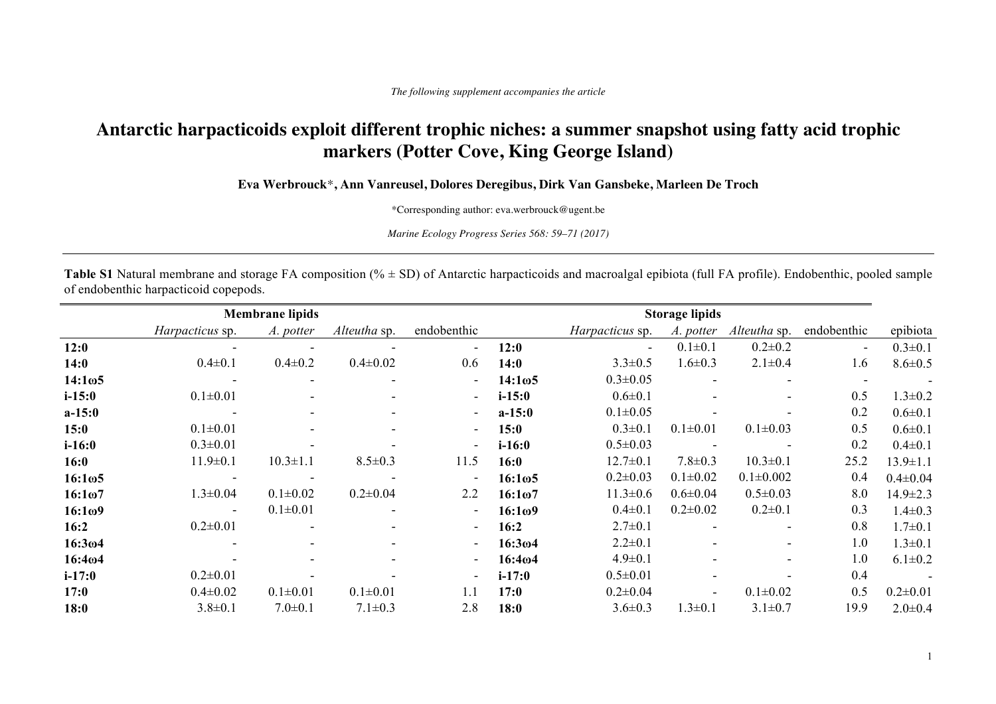## **Antarctic harpacticoids exploit different trophic niches: a summer snapshot using fatty acid trophic markers (Potter Cove, King George Island)**

**Eva Werbrouck**\***, Ann Vanreusel, Dolores Deregibus, Dirk Van Gansbeke, Marleen De Troch**

\*Corresponding author: eva.werbrouck@ugent.be

*Marine Ecology Progress Series 568: 59–71 (2017)*

Table S1 Natural membrane and storage FA composition (%  $\pm$  SD) of Antarctic harpacticoids and macroalgal epibiota (full FA profile). Endobenthic, pooled sample of endobenthic harpacticoid copepods.

|                     | <b>Membrane lipids</b> |                          |                          |                          |                     | <b>Storage lipids</b> |                |                          |             |                |
|---------------------|------------------------|--------------------------|--------------------------|--------------------------|---------------------|-----------------------|----------------|--------------------------|-------------|----------------|
|                     | Harpacticus sp.        | A. potter                | Alteutha sp.             | endobenthic              |                     | Harpacticus sp.       | A. potter      | Alteutha sp.             | endobenthic | epibiota       |
| 12:0                |                        |                          |                          | $\blacksquare$           | 12:0                | $\sim$                | $0.1 \pm 0.1$  | $0.2 \pm 0.2$            | $\sim$      | $0.3 \pm 0.1$  |
| 14:0                | $0.4 \pm 0.1$          | $0.4 \pm 0.2$            | $0.4 \pm 0.02$           | 0.6                      | 14:0                | $3.3 \pm 0.5$         | $1.6 \pm 0.3$  | $2.1 \pm 0.4$            | 1.6         | $8.6 \pm 0.5$  |
| $14:1\omega$ 5      |                        | $\overline{\phantom{a}}$ |                          | $\overline{\phantom{a}}$ | 14:1ω5              | $0.3 \pm 0.05$        |                |                          |             |                |
| $i - 15:0$          | $0.1 \pm 0.01$         | ٠                        | $\overline{\phantom{a}}$ | $\overline{\phantom{a}}$ | $i - 15:0$          | $0.6 \pm 0.1$         |                | $\overline{\phantom{a}}$ | 0.5         | $1.3 \pm 0.2$  |
| $a-15:0$            |                        | $\overline{\phantom{a}}$ | $\overline{\phantom{a}}$ | $\overline{\phantom{a}}$ | $a-15:0$            | $0.1 \pm 0.05$        |                |                          | 0.2         | $0.6 \pm 0.1$  |
| 15:0                | $0.1 \pm 0.01$         | $\blacksquare$           | $\overline{\phantom{a}}$ | $\overline{\phantom{a}}$ | 15:0                | $0.3 \pm 0.1$         | $0.1 \pm 0.01$ | $0.1 \pm 0.03$           | 0.5         | $0.6 \pm 0.1$  |
| $i-16:0$            | $0.3 \pm 0.01$         |                          |                          | $\blacksquare$           | $i-16:0$            | $0.5 \pm 0.03$        |                |                          | 0.2         | $0.4 \pm 0.1$  |
| 16:0                | $11.9 \pm 0.1$         | $10.3 \pm 1.1$           | $8.5 \pm 0.3$            | 11.5                     | 16:0                | $12.7 \pm 0.1$        | $7.8 \pm 0.3$  | $10.3 \pm 0.1$           | 25.2        | $13.9 \pm 1.1$ |
| $16:1\omega5$       |                        |                          |                          | $\overline{\phantom{a}}$ | $16:1\omega5$       | $0.2 \pm 0.03$        | $0.1 \pm 0.02$ | $0.1 \pm 0.002$          | 0.4         | $0.4 \pm 0.04$ |
| 16:1 <sub>0</sub> 7 | $1.3 \pm 0.04$         | $0.1 \pm 0.02$           | $0.2 \pm 0.04$           | 2.2                      | 16:1 <sub>0</sub> 7 | $11.3 \pm 0.6$        | $0.6 \pm 0.04$ | $0.5 \pm 0.03$           | 8.0         | $14.9 \pm 2.3$ |
| 16:109              | $\sim$                 | $0.1 \pm 0.01$           |                          | $\overline{\phantom{a}}$ | 16:1 <sub>0</sub> 9 | $0.4 \pm 0.1$         | $0.2 \pm 0.02$ | $0.2 \pm 0.1$            | 0.3         | $1.4 \pm 0.3$  |
| 16:2                | $0.2 \pm 0.01$         |                          | $\overline{\phantom{a}}$ | $\blacksquare$           | 16:2                | $2.7 \pm 0.1$         |                | $\sim$                   | 0.8         | $1.7 \pm 0.1$  |
| 16:3 <sub>0</sub> 4 |                        |                          | $\overline{\phantom{a}}$ | $\sim$                   | 16:304              | $2.2 \pm 0.1$         |                | $\overline{\phantom{a}}$ | 1.0         | $1.3 \pm 0.1$  |
| 16:404              |                        | $\overline{\phantom{0}}$ | $\overline{\phantom{0}}$ | $\overline{\phantom{a}}$ | 16:404              | $4.9 \pm 0.1$         |                | $\blacksquare$           | 1.0         | $6.1 \pm 0.2$  |
| $i - 17:0$          | $0.2 \pm 0.01$         |                          |                          | $\overline{\phantom{a}}$ | $i - 17:0$          | $0.5 \pm 0.01$        |                |                          | 0.4         |                |
| 17:0                | $0.4 \pm 0.02$         | $0.1 \pm 0.01$           | $0.1 \pm 0.01$           | 1.1                      | 17:0                | $0.2 \pm 0.04$        |                | $0.1 \pm 0.02$           | 0.5         | $0.2 \pm 0.01$ |
| 18:0                | $3.8 \pm 0.1$          | $7.0 \pm 0.1$            | $7.1 \pm 0.3$            | 2.8                      | 18:0                | $3.6 \pm 0.3$         | $1.3 \pm 0.1$  | $3.1 \pm 0.7$            | 19.9        | $2.0 \pm 0.4$  |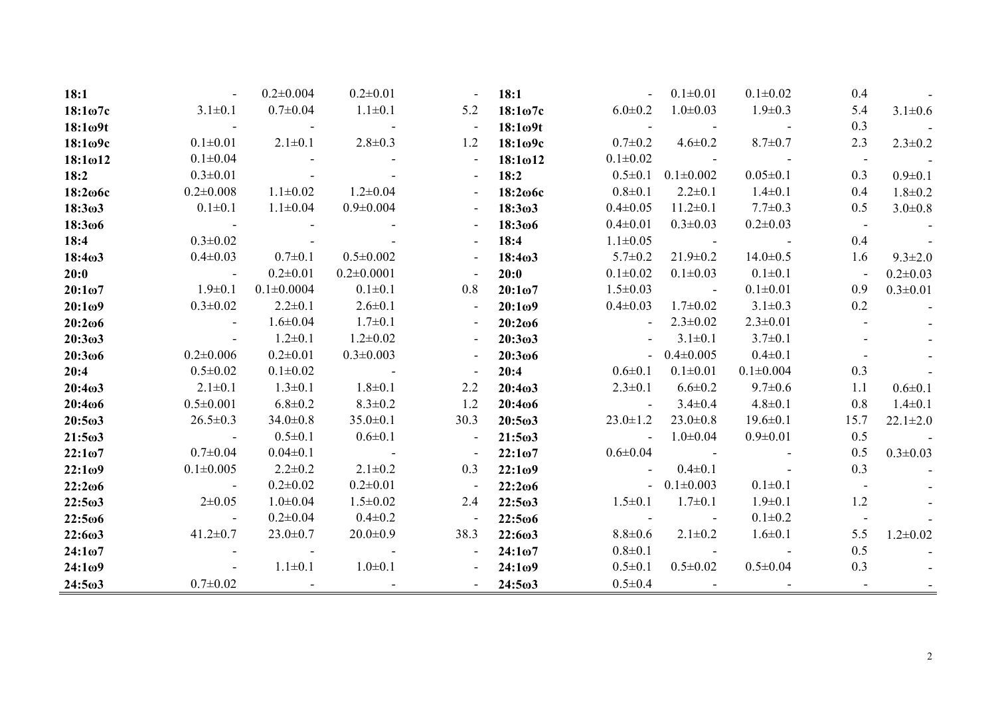| 18:1                |                                                                                         | $0.2 \pm 0.004$                                             | $0.2 \pm 0.01$           | $\overline{\phantom{a}}$ | 18:1                |                                                       | $0.1 \pm 0.01$           | $0.1 \pm 0.02$           | 0.4                      |                |
|---------------------|-----------------------------------------------------------------------------------------|-------------------------------------------------------------|--------------------------|--------------------------|---------------------|-------------------------------------------------------|--------------------------|--------------------------|--------------------------|----------------|
| $18:1\omega$ 7c     | $3.1 \pm 0.1$                                                                           | $0.7 \pm 0.04$                                              | $1.1 \pm 0.1$            | 5.2                      | $18:1\omega$ 7c     | $6.0 \pm 0.2$                                         | $1.0 \pm 0.03$           | $1.9 \pm 0.3$            | 5.4                      | $3.1 \pm 0.6$  |
| $18:1\omega$ 9t     |                                                                                         | $\mathcal{L}_{\text{max}}$ , and $\mathcal{L}_{\text{max}}$ |                          | $\overline{\phantom{a}}$ | $18:1\omega$ 9t     | $\mathcal{L}_{\rm{max}}$ and $\mathcal{L}_{\rm{max}}$ |                          |                          | 0.3                      |                |
| $18:1\omega$ 9c     | $0.1 \pm 0.01$                                                                          | $2.1 \pm 0.1$                                               | $2.8 \pm 0.3$            | 1.2                      | $18:1\omega$ 9c     | $0.7 \pm 0.2$                                         | $4.6 \pm 0.2$            | $8.7 \pm 0.7$            | 2.3                      | $2.3 \pm 0.2$  |
| $18:1\omega12$      | $0.1 \pm 0.04$                                                                          |                                                             |                          |                          | $18:1\omega12$      | $0.1 \pm 0.02$                                        | <b>Contract Contract</b> | <b>Contract Contract</b> |                          |                |
| 18:2                | $0.3 \pm 0.01$                                                                          |                                                             |                          |                          | 18:2                | $0.5 \pm 0.1$                                         | $0.1 \pm 0.002$          | $0.05 \pm 0.1$           | 0.3                      | $0.9 \pm 0.1$  |
| $18:2\omega$ 6c     | $0.2 \pm 0.008$                                                                         | $1.1 \pm 0.02$                                              | $1.2 \pm 0.04$           |                          | $18:2\omega$ 6c     | $0.8 \pm 0.1$                                         | $2.2 \pm 0.1$            | $1.4 \pm 0.1$            | 0.4                      | $1.8 \pm 0.2$  |
| 18:3 <sub>ω</sub> 3 | $0.1 \pm 0.1$                                                                           | $1.1 \pm 0.04$                                              | $0.9 \pm 0.004$          |                          | 18:303              | $0.4 \pm 0.05$                                        | $11.2 \pm 0.1$           | $7.7 \pm 0.3$            | 0.5                      | $3.0 \pm 0.8$  |
| $18:3\omega 6$      |                                                                                         |                                                             |                          |                          | 18:3006             | $0.4 \pm 0.01$                                        | $0.3 \pm 0.03$           | $0.2 \pm 0.03$           |                          |                |
| 18:4                | $0.3 \pm 0.02$                                                                          |                                                             |                          |                          | 18:4                | $1.1 \pm 0.05$                                        | $\sim 10^{11}$ m $^{-1}$ | <b>Contract Contract</b> | 0.4                      |                |
| 18:4 <sub>0</sub> 3 | $0.4 \pm 0.03$                                                                          | $0.7 \pm 0.1$                                               | $0.5 \pm 0.002$          |                          | 18:4 <sub>0</sub> 3 | $5.7 \pm 0.2$                                         | $21.9 \pm 0.2$           | $14.0 \pm 0.5$           | 1.6                      | $9.3 \pm 2.0$  |
| 20:0                | <b>Contract Contract</b>                                                                | $0.2 \pm 0.01$                                              | $0.2 \pm 0.0001$         |                          | 20:0                | $0.1 \pm 0.02$                                        | $0.1 \pm 0.03$           | $0.1 \pm 0.1$            | $\overline{\phantom{a}}$ | $0.2 \pm 0.03$ |
| $20:1\omega$ 7      | $1.9 \pm 0.1$                                                                           | $0.1 \pm 0.0004$                                            | $0.1 \pm 0.1$            | 0.8                      | $20:1\omega$ 7      | $1.5 \pm 0.03$                                        | <b>Contract Contract</b> | $0.1 \pm 0.01$           | 0.9                      | $0.3 \pm 0.01$ |
| 20:109              | $0.3 \pm 0.02$                                                                          | $2.2 \pm 0.1$                                               | $2.6 \pm 0.1$            | $\overline{\phantom{a}}$ | 20:109              | $0.4 \pm 0.03$                                        | $1.7 \pm 0.02$           | $3.1 \pm 0.3$            | 0.2                      |                |
| $20:2\omega$        |                                                                                         | $1.6 \pm 0.04$                                              | $1.7 \pm 0.1$            |                          | $20:2\omega$        |                                                       | $2.3 \pm 0.02$           | $2.3 \pm 0.01$           |                          |                |
| 20:303              |                                                                                         | $1.2 \pm 0.1$                                               | $1.2 \pm 0.02$           |                          | 20:303              |                                                       | $3.1 \pm 0.1$            | $3.7 \pm 0.1$            |                          |                |
| 20:3006             | $0.2 \pm 0.006$                                                                         | $0.2 \pm 0.01$                                              | $0.3 \pm 0.003$          |                          | $20:3\omega$        |                                                       | $-0.4 \pm 0.005$         | $0.4 \pm 0.1$            |                          |                |
| 20:4                | $0.5 \pm 0.02$                                                                          | $0.1 \pm 0.02$                                              | <b>Contract Contract</b> |                          | 20:4                | $0.6 \pm 0.1$                                         | $0.1 \pm 0.01$           | $0.1 \pm 0.004$          | 0.3                      |                |
| 20:403              | $2.1 \pm 0.1$                                                                           | $1.3 \pm 0.1$                                               | $1.8 \pm 0.1$            | 2.2                      | 20:4 <sub>0</sub> 3 | $2.3 \pm 0.1$                                         | $6.6 \pm 0.2$            | $9.7 \pm 0.6$            | 1.1                      | $0.6 \pm 0.1$  |
| 20:4006             | $0.5 \pm 0.001$                                                                         | $6.8 \pm 0.2$                                               | $8.3 \pm 0.2$            | 1.2                      | 20:4006             |                                                       | $3.4 \pm 0.4$            | $4.8 \pm 0.1$            | 0.8                      | $1.4 \pm 0.1$  |
| $20:5\omega3$       | $26.5 \pm 0.3$                                                                          | $34.0 \pm 0.8$                                              | $35.0 \pm 0.1$           | 30.3                     | $20:5\omega3$       | $23.0 \pm 1.2$                                        | $23.0 \pm 0.8$           | $19.6 \pm 0.1$           | 15.7                     | $22.1 \pm 2.0$ |
| $21:5\omega3$       | $\mathcal{L}^{\text{max}}_{\text{max}}$ , where $\mathcal{L}^{\text{max}}_{\text{max}}$ | $0.5 \pm 0.1$                                               | $0.6 \pm 0.1$            | $\blacksquare$           | $21:5\omega3$       | <b>Contract Contract</b>                              | $1.0 \pm 0.04$           | $0.9 \pm 0.01$           | 0.5                      |                |
| $22:1\omega$ 7      | $0.7 \pm 0.04$                                                                          | $0.04 \pm 0.1$                                              | <b>Contract Contract</b> |                          | 22:107              | $0.6 \pm 0.04$                                        | <b>Contract Contract</b> |                          | 0.5                      | $0.3 \pm 0.03$ |
| 22:109              | $0.1 \pm 0.005$                                                                         | $2.2 \pm 0.2$                                               | $2.1 \pm 0.2$            | 0.3                      | 22:109              | $\sim$                                                | $0.4 \pm 0.1$            |                          | 0.3                      |                |
| $22:2\omega$ 6      | $\sim 10^{-1}$ m $^{-1}$                                                                | $0.2 \pm 0.02$                                              | $0.2 \pm 0.01$           | $\blacksquare$           | $22:2\omega$ 6      |                                                       | $-0.1 \pm 0.003$         | $0.1 \pm 0.1$            |                          |                |
| $22:5\omega3$       | $2 \pm 0.05$                                                                            | $1.0 \pm 0.04$                                              | $1.5 \pm 0.02$           | 2.4                      | $22:5\omega3$       | $1.5 \pm 0.1$                                         | $1.7 \pm 0.1$            | $1.9 \pm 0.1$            | 1.2                      |                |
| $22:5\omega$ 6      | <b>Contract Contract</b>                                                                | $0.2 \pm 0.04$                                              | $0.4 \pm 0.2$            | $\overline{\phantom{a}}$ | $22:5\omega$ 6      | <b>Contract Advised</b>                               |                          | $0.1 \pm 0.2$            |                          |                |
| 22:6ω3              | $41.2 \pm 0.7$                                                                          | $23.0 \pm 0.7$                                              | $20.0 \pm 0.9$           | 38.3                     | $22:6\omega3$       | $8.8 \pm 0.6$                                         | $2.1 \pm 0.2$            | $1.6 \pm 0.1$            | 5.5                      | $1.2 \pm 0.02$ |
| $24:1\omega$ 7      |                                                                                         |                                                             |                          | $\overline{\phantom{a}}$ | $24:1\omega$ 7      | $0.8 + 0.1$                                           |                          |                          | 0.5                      |                |
| 24:109              |                                                                                         | $1.1 \pm 0.1$                                               | $1.0 \pm 0.1$            |                          | 24:1 <sub>0</sub> 9 | $0.5 \pm 0.1$                                         | $0.5 \pm 0.02$           | $0.5 \pm 0.04$           | 0.3                      |                |
| $24:5\omega3$       | $0.7 \pm 0.02$                                                                          |                                                             |                          |                          | 24:5 <sub>ω</sub> 3 | $0.5 \pm 0.4$                                         |                          |                          |                          |                |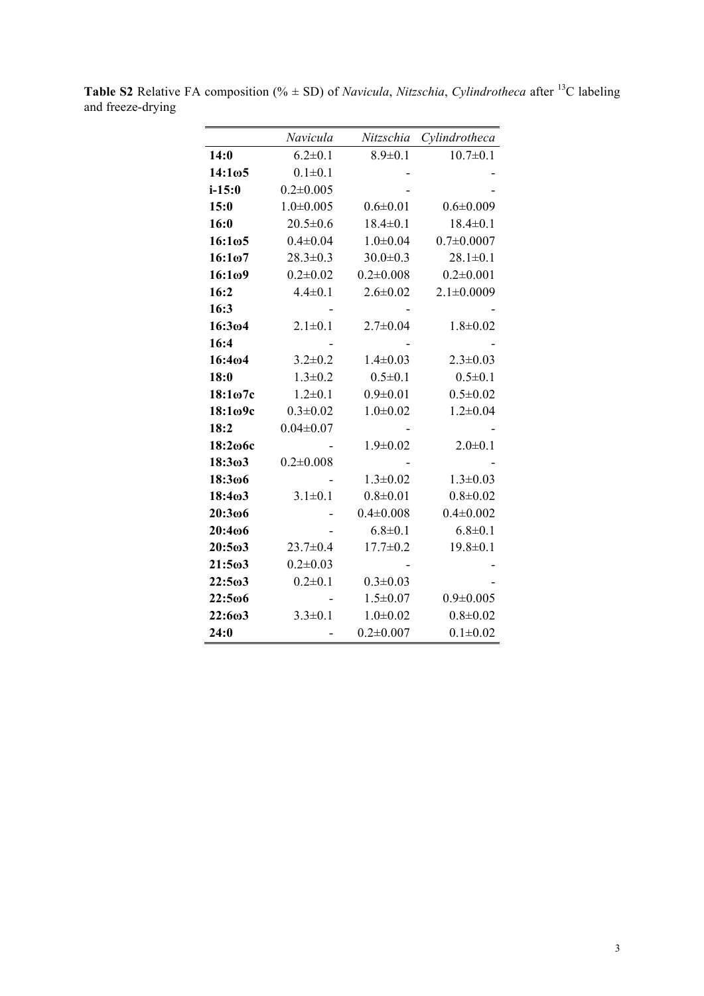|                     | Navicula        | Nitzschia       | Cylindrotheca    |
|---------------------|-----------------|-----------------|------------------|
| 14:0                | $6.2 \pm 0.1$   | $8.9 \pm 0.1$   | $10.7 \pm 0.1$   |
| 14:1ω5              | $0.1 \pm 0.1$   |                 |                  |
| $i - 15:0$          | $0.2 \pm 0.005$ |                 |                  |
| 15:0                | $1.0 \pm 0.005$ | $0.6 \pm 0.01$  | $0.6 \pm 0.009$  |
| 16:0                | $20.5 \pm 0.6$  | $18.4 \pm 0.1$  | $18.4 \pm 0.1$   |
| $16:1\omega5$       | $0.4 \pm 0.04$  | $1.0 \pm 0.04$  | $0.7 \pm 0.0007$ |
| 16:1 <sub>0</sub> 7 | $28.3 \pm 0.3$  | $30.0 \pm 0.3$  | $28.1 \pm 0.1$   |
| 16:109              | $0.2 \pm 0.02$  | $0.2 \pm 0.008$ | $0.2 \pm 0.001$  |
| 16:2                | $4.4 \pm 0.1$   | $2.6 \pm 0.02$  | $2.1 \pm 0.0009$ |
| 16:3                |                 |                 |                  |
| 16:304              | $2.1 \pm 0.1$   | $2.7 \pm 0.04$  | $1.8 \pm 0.02$   |
| 16:4                |                 |                 |                  |
| 16:404              | $3.2 \pm 0.2$   | $1.4 \pm 0.03$  | $2.3 \pm 0.03$   |
| 18:0                | $1.3 \pm 0.2$   | $0.5 \pm 0.1$   | $0.5 \pm 0.1$    |
| 18:1 <sub>07c</sub> | $1.2 \pm 0.1$   | $0.9 \pm 0.01$  | $0.5 \pm 0.02$   |
| 18:1ω9c             | $0.3 \pm 0.02$  | $1.0 \pm 0.02$  | $1.2 \pm 0.04$   |
| 18:2                | $0.04 \pm 0.07$ |                 |                  |
| 18:206с             |                 | $1.9 \pm 0.02$  | $2.0 \pm 0.1$    |
| 18:3ω3              | $0.2 \pm 0.008$ |                 |                  |
| 18:306              |                 | $1.3 \pm 0.02$  | $1.3 \pm 0.03$   |
| 18:4 <sub>0</sub> 3 | $3.1 \pm 0.1$   | $0.8 + 0.01$    | $0.8 + 0.02$     |
| 20:3006             |                 | $0.4 \pm 0.008$ | $0.4 \pm 0.002$  |
| 20:406              |                 | $6.8 \pm 0.1$   | $6.8 \pm 0.1$    |
| $20:5\omega3$       | $23.7 \pm 0.4$  | $17.7 \pm 0.2$  | $19.8 \pm 0.1$   |
| $21:5\omega3$       | $0.2 \pm 0.03$  |                 |                  |
| $22:5\omega3$       | $0.2 \pm 0.1$   | $0.3 \pm 0.03$  |                  |
| 22:5ω6              |                 | $1.5 \pm 0.07$  | $0.9 \pm 0.005$  |
| 22:603              | $3.3 \pm 0.1$   | $1.0 \pm 0.02$  | $0.8 + 0.02$     |
| 24:0                |                 | $0.2 \pm 0.007$ | $0.1 \pm 0.02$   |

**Table S2** Relative FA composition (%  $\pm$  SD) of *Navicula*, *Nitzschia*, *Cylindrotheca* after <sup>13</sup>C labeling and freeze-drying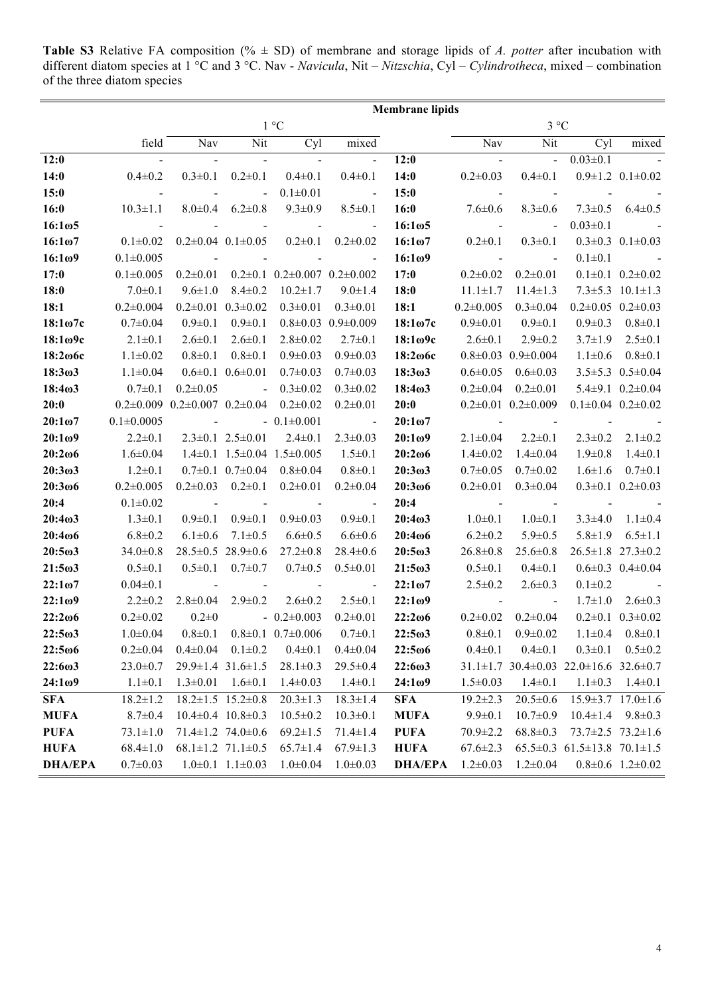**Table S3** Relative FA composition (% ± SD) of membrane and storage lipids of *A. potter* after incubation with different diatom species at 1 °C and 3 °C. Nav - *Navicula*, Nit – *Nitzschia*, Cyl – *Cylindrotheca*, mixed – combination of the three diatom species

|                     | <b>Membrane lipids</b>                                |                                                    |                                   |                                         |                                   |                           |                                                                        |                                                               |                                         |                                   |
|---------------------|-------------------------------------------------------|----------------------------------------------------|-----------------------------------|-----------------------------------------|-----------------------------------|---------------------------|------------------------------------------------------------------------|---------------------------------------------------------------|-----------------------------------------|-----------------------------------|
|                     | $1^{\circ}C$                                          |                                                    |                                   |                                         |                                   | $3^{\circ}C$              |                                                                        |                                                               |                                         |                                   |
|                     | field                                                 | Nav                                                | Nit                               | Cyl                                     | mixed                             |                           | Nav                                                                    | Nit                                                           | Cyl                                     | mixed                             |
| 12:0                | $\sim 10^{11}$ and $\sim 10^{11}$                     | $\blacksquare$                                     | $\sim 10^{11}$ and $\sim 10^{11}$ | $\sim 10^{11}$ m $^{-1}$                | $\sim$                            | 12:0                      | $\mathcal{L}_{\text{max}}$ and $\mathcal{L}_{\text{max}}$              | <b>Contractor</b>                                             | $0.03 \pm 0.1$                          | <b>Contractor</b>                 |
| 14:0                | $0.4 \pm 0.2$                                         | $0.3 \pm 0.1$                                      | $0.2 \pm 0.1$                     | $0.4 \pm 0.1$                           | $0.4 \pm 0.1$                     | 14:0                      | $0.2 \pm 0.03$                                                         |                                                               | $0.4\pm0.1$ $0.9\pm1.2$ $0.1\pm0.02$    |                                   |
| 15:0                | $\sim 10^{11}$ km $^{-1}$                             | and the state of                                   | $\sim$                            | $0.1 \pm 0.01$                          | $\sim 10^{11}$ and $\sim 10^{11}$ | 15:0                      | $\mathcal{L}(\mathcal{L})$ and $\mathcal{L}(\mathcal{L})$              | $\sim 10^{11}$ km s $^{-1}$                                   | $\sim 10^{11}$ m $^{-1}$                |                                   |
| 16:0                | $10.3 \pm 1.1$                                        |                                                    | $8.0\pm0.4$ 6.2 $\pm0.8$          | $9.3 \pm 0.9$                           | $8.5 \pm 0.1$                     | <b>16:0</b> 7.6 $\pm$ 0.6 |                                                                        | $8.3 \pm 0.6$                                                 |                                         | $7.3 \pm 0.5$ 6.4 $\pm 0.5$       |
| $16:1\omega$ 5      | <b>Service</b>                                        | $\sim$                                             | <b>Contract Contract</b>          | $\sim 10^{11}$ and $\sim 10^{11}$       | <b>Contract Contract</b>          | $16:1\omega5$             | $\mathcal{L}_{\text{max}}$ and $\mathcal{L}_{\text{max}}$              | <b>Contract Contract</b>                                      | $0.03 \pm 0.1$                          | <b>Contract Contract</b>          |
| 16:107              | $0.1 \pm 0.02$                                        |                                                    |                                   | $0.2\pm0.04$ $0.1\pm0.05$ $0.2\pm0.1$   | $0.2 \pm 0.02$                    | $16:1\omega$ 7            | $0.2 \pm 0.1$                                                          | $0.3 \pm 0.1$                                                 |                                         | $0.3 \pm 0.3$ $0.1 \pm 0.03$      |
| 16:109              | $0.1 \pm 0.005$                                       | <b>Contract Contract</b>                           | <b>Contract Contract</b>          | $\blacksquare$                          | <b>Contract Contract</b>          | 16:1 <sub>0</sub> 9       | $\mathcal{L}(\mathcal{L}^{\text{max}})$ and $\mathcal{L}^{\text{max}}$ | <b>Contract Contract</b>                                      | $0.1 \pm 0.1$                           | $\sim 10^{11}$ and $\sim 10^{11}$ |
| 17:0                | $0.1 \pm 0.005$                                       | $0.2 \pm 0.01$                                     |                                   | $0.2\pm0.1$ $0.2\pm0.007$ $0.2\pm0.002$ |                                   | 17:0                      | $0.2 \pm 0.02$                                                         | $0.2 \pm 0.01$                                                |                                         | $0.1 \pm 0.1$ $0.2 \pm 0.02$      |
| 18:0                | $7.0 \pm 0.1$                                         | $9.6 \pm 1.0$                                      | $8.4 \pm 0.2$                     | $10.2 \pm 1.7$                          | $9.0 \pm 1.4$                     | 18:0                      | $11.1 \pm 1.7$                                                         | $11.4 \pm 1.3$                                                |                                         | $7.3 \pm 5.3$ 10.1 $\pm$ 1.3      |
| 18:1                | $0.2 \pm 0.004$                                       |                                                    | $0.2\pm0.01$ $0.3\pm0.02$         | $0.3 \pm 0.01$                          | $0.3 \pm 0.01$                    | 18:1                      | $0.2 \pm 0.005$                                                        | $0.3 \pm 0.04$                                                | $0.2\pm0.05$ $0.2\pm0.03$               |                                   |
| $18:1\omega$ 7c     | $0.7 \pm 0.04$                                        | $0.9 \pm 0.1$                                      | $0.9 \pm 0.1$                     |                                         | $0.8 \pm 0.03$ $0.9 \pm 0.009$    | $18:1\omega$ 7c           | $0.9 \pm 0.01$                                                         | $0.9 \pm 0.1$                                                 | $0.9 \pm 0.3$                           | $0.8 \pm 0.1$                     |
| $18:1\omega$ 9c     | $2.1 \pm 0.1$                                         | $2.6 \pm 0.1$                                      | $2.6 \pm 0.1$                     | $2.8 \pm 0.02$                          | $2.7 \pm 0.1$                     | $18:1\omega$ 9c           | $2.6 \pm 0.1$                                                          | $2.9 \pm 0.2$                                                 |                                         | $3.7 \pm 1.9$ $2.5 \pm 0.1$       |
| $18:2\omega$ 6c     | $1.1 \pm 0.02$                                        | $0.8 \pm 0.1$                                      | $0.8 \pm 0.1$                     | $0.9 \pm 0.03$                          | $0.9 \pm 0.03$                    | $18:2\omega$ 6c           |                                                                        | $0.8 \pm 0.03$ $0.9 \pm 0.004$                                |                                         | $1.1\pm0.6$ $0.8\pm0.1$           |
| 18:3 <sub>ω</sub> 3 | $1.1 \pm 0.04$                                        |                                                    | $0.6 \pm 0.1$ $0.6 \pm 0.01$      | $0.7 \pm 0.03$                          | $0.7 \pm 0.03$                    | $18:3\omega3$             | $0.6 \pm 0.05$                                                         | $0.6 \pm 0.03$                                                |                                         | $3.5 \pm 5.3$ 0.5 $\pm$ 0.04      |
| 18:4 <sub>0</sub> 3 | $0.7 \pm 0.1$                                         | $0.2 \pm 0.05$                                     | <b>Contract Contract</b>          | $0.3 \pm 0.02$                          | $0.3 \pm 0.02$                    | 18:4 <sub>0</sub> 3       | $0.2 \pm 0.04$                                                         | $0.2 \pm 0.01$                                                |                                         | $5.4\pm9.1$ $0.2\pm0.04$          |
| 20:0                | $0.2\pm0.009$ $0.2\pm0.007$ $0.2\pm0.04$ $0.2\pm0.02$ |                                                    |                                   |                                         | $0.2 \pm 0.01$                    | 20:0                      |                                                                        | $0.2\pm0.01$ $0.2\pm0.009$                                    | $0.1\pm0.04$ $0.2\pm0.02$               |                                   |
| $20:1\omega$ 7      | $0.1 \pm 0.0005$                                      | $\sim 10^{11}$ and $\sim 10^{11}$                  |                                   | $-0.1 \pm 0.001$                        | $\sim$ $-$                        | $20:1\omega$ 7            |                                                                        | and the state of the state of the                             | $\blacksquare$                          |                                   |
| $20:1\omega$ 9      | $2.2 \pm 0.1$                                         |                                                    | $2.3 \pm 0.1$ $2.5 \pm 0.01$      | $2.4 \pm 0.1$                           | $2.3 \pm 0.03$                    | $20:1\omega$ 9            | $2.1 \pm 0.04$                                                         | $2.2 \pm 0.1$                                                 | $2.3 \pm 0.2$                           | $2.1 \pm 0.2$                     |
| $20:2\omega$        | $1.6 \pm 0.04$                                        |                                                    |                                   | $1.4\pm0.1$ $1.5\pm0.04$ $1.5\pm0.005$  | $1.5 \pm 0.1$                     | $20:2\omega$              | $1.4 \pm 0.02$                                                         | $1.4 \pm 0.04$                                                | $1.9 \pm 0.8$                           | $1.4 \pm 0.1$                     |
| 20:3 <sub>0</sub> 3 | $1.2 \pm 0.1$                                         |                                                    | $0.7\pm0.1$ $0.7\pm0.04$          | $0.8 \pm 0.04$                          | $0.8 \pm 0.1$                     | 20:303                    | $0.7 \pm 0.05$                                                         | $0.7 \pm 0.02$                                                | $1.6 \pm 1.6$                           | $0.7 \pm 0.1$                     |
| $20:3\omega$        | $0.2 \pm 0.005$                                       |                                                    | $0.2\pm0.03$ $0.2\pm0.1$          | $0.2 \pm 0.01$                          | $0.2 \pm 0.04$                    | $20:3\omega$              | $0.2 \pm 0.01$                                                         | $0.3 \pm 0.04$                                                |                                         | $0.3 \pm 0.1$ $0.2 \pm 0.03$      |
| 20:4                | $0.1 \pm 0.02$                                        | <b>Contract Contract</b>                           | <b>Contractor</b>                 | <b>Contract Contract</b>                | <b>Contract Contract</b>          | 20:4                      | <b>Contract Contract</b>                                               |                                                               | $\sim$                                  |                                   |
| 20:4 <sub>0</sub> 3 | $1.3 \pm 0.1$                                         | $0.9 \pm 0.1$                                      | $0.9 \pm 0.1$                     | $0.9 \pm 0.03$                          | $0.9 \pm 0.1$                     | 20:403                    | $1.0 \pm 0.1$                                                          | $1.0 \pm 0.1$                                                 | $3.3 \pm 4.0$                           | $1.1 \pm 0.4$                     |
| $20:4\omega$        | $6.8 \pm 0.2$                                         | $6.1 \pm 0.6$                                      | $7.1 \pm 0.5$                     | $6.6 \pm 0.5$                           | $6.6 \pm 0.6$                     | $20:4\omega$              | $6.2 \pm 0.2$                                                          | $5.9 \pm 0.5$                                                 | $5.8 \pm 1.9$                           | $6.5 \pm 1.1$                     |
| $20:5\omega3$       | $34.0 \pm 0.8$                                        |                                                    | $28.5\pm0.5$ 28.9 $\pm0.6$        | $27.2 \pm 0.8$                          | $28.4 \pm 0.6$                    | $20:5\omega3$             | $26.8 \pm 0.8$                                                         | $25.6 \pm 0.8$                                                | $26.5 \pm 1.8$ 27.3 $\pm 0.2$           |                                   |
| $21:5\omega3$       | $0.5 \pm 0.1$                                         |                                                    | $0.5 \pm 0.1$ $0.7 \pm 0.7$       | $0.7 \pm 0.5$                           | $0.5 \pm 0.01$                    | $21:5\omega3$             | $0.5 \pm 0.1$                                                          | $0.4 \pm 0.1$                                                 |                                         | $0.6 \pm 0.3$ $0.4 \pm 0.04$      |
| $22:1\omega$ 7      | $0.04 \pm 0.1$                                        | $\sim 10^{11}$ and $\sim 10^{11}$                  | $\sim$                            | $\sim 10^{11}$ and $\sim 10^{11}$       | <b>Contract Contract</b>          | $22:1\omega$ 7            | $2.5 \pm 0.2$                                                          | $2.6 \pm 0.3$                                                 | $0.1 \pm 0.2$                           |                                   |
| $22:1\omega$ 9      | $2.2 \pm 0.2$                                         | $2.8 \pm 0.04$                                     | $2.9 \pm 0.2$                     | $2.6 \pm 0.2$                           | $2.5 \pm 0.1$                     | $22:1\omega$ 9            | <b>Contract Contract</b>                                               | $\sim 100$                                                    |                                         | $1.7\pm1.0$ $2.6\pm0.3$           |
| $22:2\omega$        | $0.2 \pm 0.02$                                        | $0.2 \pm 0$                                        |                                   | $-0.2\pm0.003$                          | $0.2 \pm 0.01$                    | $22:2\omega$ 6            |                                                                        | $0.2\pm0.02$ $0.2\pm0.04$                                     |                                         | $0.2\pm0.1$ $0.3\pm0.02$          |
| $22:5\omega3$       |                                                       | $1.0\pm0.04$ $0.8\pm0.1$ $0.8\pm0.1$ $0.7\pm0.006$ |                                   |                                         | $0.7 \pm 0.1$                     | $22:5\omega3$             |                                                                        | $0.8 \pm 0.1$ $0.9 \pm 0.02$                                  | $1.1 \pm 0.4$ $0.8 \pm 0.1$             |                                   |
| 22:5006             | $0.2 \pm 0.04$                                        | $0.4 \pm 0.04$                                     | $0.1 \pm 0.2$                     | $0.4 \pm 0.1$                           | $0.4 \pm 0.04$                    | 22:5006                   | $0.4 \pm 0.1$                                                          | $0.4 \pm 0.1$                                                 | $0.3 \pm 0.1$                           | $0.5 \pm 0.2$                     |
| 22:603              | $23.0 \pm 0.7$                                        |                                                    | $29.9 \pm 1.4$ 31.6 $\pm 1.5$     | $28.1 \pm 0.3$                          | $29.5 \pm 0.4$                    | 22:603                    |                                                                        | $31.1 \pm 1.7$ $30.4 \pm 0.03$ $22.0 \pm 16.6$ $32.6 \pm 0.7$ |                                         |                                   |
| 24:109              | $1.1 \pm 0.1$                                         | $1.3 \pm 0.01$                                     | $1.6 \pm 0.1$                     | $1.4 \pm 0.03$                          | $1.4 \pm 0.1$                     | 24:109                    | $1.5 \pm 0.03$                                                         | $1.4 \pm 0.1$                                                 | $1.1 \pm 0.3$                           | $1.4 \pm 0.1$                     |
| <b>SFA</b>          | $18.2 \pm 1.2$                                        |                                                    | $18.2 \pm 1.5$ $15.2 \pm 0.8$     | $20.3 \pm 1.3$                          | $18.3 \pm 1.4$                    | <b>SFA</b>                | $19.2 \pm 2.3$                                                         | $20.5 \pm 0.6$                                                |                                         | $15.9 \pm 3.7$ $17.0 \pm 1.6$     |
| <b>MUFA</b>         | $8.7 \pm 0.4$                                         |                                                    | $10.4 \pm 0.4$ $10.8 \pm 0.3$     | $10.5 \pm 0.2$                          | $10.3 \pm 0.1$                    | <b>MUFA</b>               | $9.9 \pm 0.1$                                                          | $10.7 \pm 0.9$                                                | $10.4 \pm 1.4$ $9.8 \pm 0.3$            |                                   |
| <b>PUFA</b>         | $73.1 \pm 1.0$                                        |                                                    | $71.4 \pm 1.2$ 74.0 $\pm$ 0.6     | $69.2 \pm 1.5$                          | $71.4 \pm 1.4$                    | <b>PUFA</b>               | $70.9 \pm 2.2$                                                         | $68.8 \pm 0.3$                                                | $73.7 \pm 2.5$ $73.2 \pm 1.6$           |                                   |
| <b>HUFA</b>         | $68.4 \pm 1.0$                                        |                                                    | $68.1 \pm 1.2$ 71.1 $\pm 0.5$     | $65.7 \pm 1.4$                          | $67.9 \pm 1.3$                    | <b>HUFA</b>               | $67.6 \pm 2.3$                                                         |                                                               | $65.5\pm0.3$ $61.5\pm13.8$ $70.1\pm1.5$ |                                   |
| <b>DHA/EPA</b>      | $0.7 \pm 0.03$                                        |                                                    | $1.0\pm0.1$ $1.1\pm0.03$          | $1.0 \pm 0.04$                          | $1.0 \pm 0.03$                    | <b>DHA/EPA</b>            | $1.2 \pm 0.03$                                                         | $1.2 \pm 0.04$                                                |                                         | $0.8 \pm 0.6$ 1.2 $\pm 0.02$      |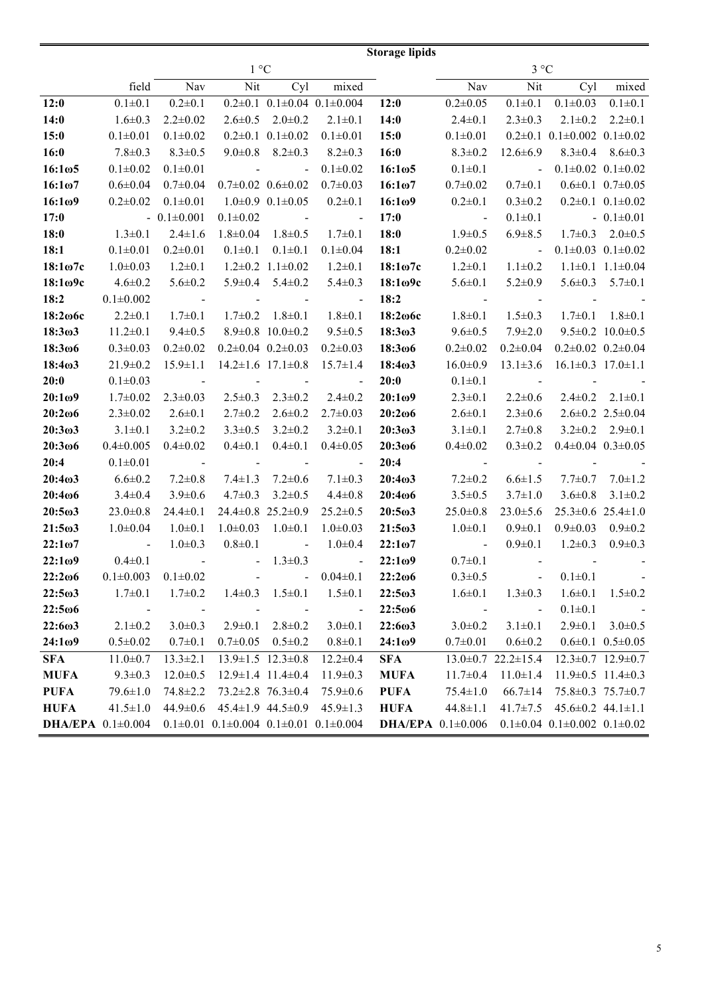|                     | <b>Storage lipids</b>                                                              |                                                           |                                                           |                                                                                     |                                        |                                                                      |                                                                                   |                                    |                                        |                               |
|---------------------|------------------------------------------------------------------------------------|-----------------------------------------------------------|-----------------------------------------------------------|-------------------------------------------------------------------------------------|----------------------------------------|----------------------------------------------------------------------|-----------------------------------------------------------------------------------|------------------------------------|----------------------------------------|-------------------------------|
|                     | 1 °C                                                                               |                                                           |                                                           |                                                                                     |                                        |                                                                      |                                                                                   | $3^{\circ}C$                       |                                        |                               |
|                     | field                                                                              | Nav                                                       | Nit                                                       | Cyl                                                                                 | mixed                                  |                                                                      | Nav                                                                               | Nit                                | Cyl                                    | mixed                         |
| 12:0                | $0.1 \pm 0.1$                                                                      | $0.2 \pm 0.1$                                             |                                                           |                                                                                     | $0.2\pm0.1$ $0.1\pm0.04$ $0.1\pm0.004$ | 12:0                                                                 | $0.2 \pm 0.05$                                                                    | $0.1 \pm 0.1$                      | $0.1 \pm 0.03$                         | $0.1 \pm 0.1$                 |
| 14:0                | $1.6 \pm 0.3$                                                                      | $2.2 \pm 0.02$                                            |                                                           |                                                                                     | $2.6\pm0.5$ $2.0\pm0.2$ $2.1\pm0.1$    | 14:0                                                                 | $2.4 \pm 0.1$                                                                     | $2.3 \pm 0.3$                      |                                        | $2.1 \pm 0.2$ $2.2 \pm 0.1$   |
| 15:0                | $0.1 \pm 0.01$                                                                     | $0.1 \pm 0.02$                                            |                                                           |                                                                                     | $0.2\pm0.1$ $0.1\pm0.02$ $0.1\pm0.01$  | 15:0                                                                 | $0.1 \pm 0.01$                                                                    |                                    | $0.2\pm0.1$ $0.1\pm0.002$ $0.1\pm0.02$ |                               |
| 16:0                | $7.8 \pm 0.3$                                                                      | $8.3 \pm 0.5$                                             |                                                           | $9.0 \pm 0.8$ $8.2 \pm 0.3$                                                         | $8.2 \pm 0.3$                          | 16:0                                                                 | $8.3 \pm 0.2$                                                                     | $12.6 \pm 6.9$                     |                                        | $8.3 \pm 0.4$ $8.6 \pm 0.3$   |
| $16:1\omega5$       | $0.1 \pm 0.02$                                                                     | $0.1 \pm 0.01$                                            | and the state of the                                      | $\sim$                                                                              | $0.1 \pm 0.02$                         | $16:1\omega5$                                                        | $0.1 \pm 0.1$                                                                     | <b>Contract Contract</b>           | $0.1 \pm 0.02$ $0.1 \pm 0.02$          |                               |
| 16:107              | $0.6 \pm 0.04$                                                                     | $0.7 \pm 0.04$                                            |                                                           |                                                                                     | $0.7\pm0.02$ $0.6\pm0.02$ $0.7\pm0.03$ | $16:1\omega$ 7                                                       | $0.7 \pm 0.02$                                                                    | $0.7 \pm 0.1$                      | $0.6 \pm 0.1$ $0.7 \pm 0.05$           |                               |
| 16:109              | $0.2 \pm 0.02$                                                                     | $0.1 \pm 0.01$                                            |                                                           | $1.0\pm0.9$ $0.1\pm0.05$                                                            | $0.2 \pm 0.1$                          | 16:109                                                               | $0.2 \pm 0.1$                                                                     | $0.3 \pm 0.2$                      |                                        | $0.2\pm0.1$ $0.1\pm0.02$      |
| 17:0                |                                                                                    | $-0.1\pm0.001$                                            | $0.1 \pm 0.02$                                            |                                                                                     | and the state of the state of          | 17:0                                                                 | $\sim 10^{11}$ and $\sim 10^{11}$                                                 | $0.1 \pm 0.1$                      |                                        | $-0.1\pm0.01$                 |
| 18:0                | $1.3 \pm 0.1$                                                                      | $2.4 \pm 1.6$                                             |                                                           | $1.8 \pm 0.04$ $1.8 \pm 0.5$                                                        | $1.7 \pm 0.1$                          | 18:0                                                                 | $1.9 \pm 0.5$                                                                     | $6.9 \pm 8.5$                      |                                        | $1.7\pm0.3$ $2.0\pm0.5$       |
| 18:1                | $0.1 \pm 0.01$                                                                     | $0.2 \pm 0.01$                                            | $0.1 \pm 0.1$                                             | $0.1 \pm 0.1$                                                                       | $0.1 \pm 0.04$                         | 18:1                                                                 | $0.2 \pm 0.02$                                                                    | $\sim 10^{11}$ m $^{-1}$           |                                        | $0.1 \pm 0.03$ $0.1 \pm 0.02$ |
| $18:1\omega$ 7c     | $1.0 \pm 0.03$                                                                     | $1.2 \pm 0.1$                                             |                                                           | $1.2 \pm 0.2$ $1.1 \pm 0.02$                                                        | $1.2 \pm 0.1$                          | $18:1\omega$ 7c                                                      | $1.2 \pm 0.1$                                                                     | $1.1 \pm 0.2$                      |                                        | $1.1\pm0.1$ $1.1\pm0.04$      |
| 18:1 <sub>09c</sub> | $4.6 \pm 0.2$                                                                      | $5.6 \pm 0.2$                                             |                                                           | $5.9\pm0.4$ $5.4\pm0.2$                                                             | $5.4 \pm 0.3$                          | $18:1\omega$ 9c                                                      | $5.6 \pm 0.1$                                                                     | $5.2 \pm 0.9$                      |                                        | $5.6 \pm 0.3$ $5.7 \pm 0.1$   |
| 18:2                | $0.1{\pm}0.002$                                                                    | $\mathcal{L}_{\text{max}}$ and $\mathcal{L}_{\text{max}}$ |                                                           | and the state of the state                                                          | $\sim 10^{11}$ and $\sim 10^{11}$      | 18:2                                                                 | $\mathcal{L}_{\text{max}}$ and $\mathcal{L}_{\text{max}}$                         | <b>Contract Contract</b>           |                                        | and the company of the        |
| $18:2\omega$ 6c     | $2.2 \pm 0.1$                                                                      | $1.7 \pm 0.1$                                             | $1.7 \pm 0.2$                                             | $1.8 \pm 0.1$                                                                       | $1.8 \pm 0.1$                          | 18:206с                                                              | $1.8 \pm 0.1$                                                                     | $1.5 \pm 0.3$                      |                                        | $1.7\pm0.1$ $1.8\pm0.1$       |
| 18:303              | $11.2 \pm 0.1$                                                                     | $9.4 \pm 0.5$                                             |                                                           | $8.9 \pm 0.8$ 10.0 $\pm 0.2$                                                        | $9.5 \pm 0.5$                          | 18:3 <sub>0</sub> 3                                                  | $9.6 \pm 0.5$                                                                     | $7.9 \pm 2.0$                      |                                        | $9.5 \pm 0.2$ 10.0 $\pm 0.5$  |
| 18:3006             | $0.3 \pm 0.03$                                                                     | $0.2 \pm 0.02$                                            |                                                           |                                                                                     | $0.2\pm0.04$ $0.2\pm0.03$ $0.2\pm0.03$ | $18:3\omega 6$                                                       | $0.2 \pm 0.02$                                                                    | $0.2 \pm 0.04$                     |                                        | $0.2\pm0.02$ $0.2\pm0.04$     |
| 18:403              | $21.9 \pm 0.2$                                                                     | $15.9 \pm 1.1$                                            |                                                           | $14.2 \pm 1.6$ 17.1 $\pm 0.8$                                                       | $15.7 \pm 1.4$                         | 18:4 <sub>0</sub> 3                                                  | $16.0 \pm 0.9$                                                                    | $13.1 \pm 3.6$                     | $16.1 \pm 0.3$ $17.0 \pm 1.1$          |                               |
| 20:0                | $0.1 \pm 0.03$                                                                     | $\mathcal{L}(\mathcal{L})$ and $\mathcal{L}(\mathcal{L})$ |                                                           |                                                                                     | and the state of the state of the      | 20:0                                                                 | $0.1 \pm 0.1$                                                                     | $\sim 10^{11}$ m $^{-1}$ m $^{-1}$ | $\sim 100$                             |                               |
| 20:109              | $1.7 \pm 0.02$                                                                     | $2.3 \pm 0.03$                                            |                                                           |                                                                                     | $2.5\pm0.3$ $2.3\pm0.2$ $2.4\pm0.2$    | 20:109                                                               | $2.3 \pm 0.1$                                                                     | $2.2 \pm 0.6$                      |                                        | $2.4\pm0.2$ $2.1\pm0.1$       |
| $20:2\omega$        | $2.3 \pm 0.02$                                                                     | $2.6 \pm 0.1$                                             | $2.7 \pm 0.2$                                             | $2.6 \pm 0.2$                                                                       | $2.7 \pm 0.03$                         | $20:2\omega$                                                         | $2.6 \pm 0.1$                                                                     | $2.3 \pm 0.6$                      |                                        | $2.6 \pm 0.2$ $2.5 \pm 0.04$  |
| 20:303              | $3.1 \pm 0.1$                                                                      | $3.2 \pm 0.2$                                             | $3.3 \pm 0.5$                                             | $3.2 \pm 0.2$                                                                       | $3.2 \pm 0.1$                          | 20:3 <sub>0</sub> 3                                                  | $3.1 \pm 0.1$                                                                     | $2.7 \pm 0.8$                      |                                        | $3.2\pm0.2$ $2.9\pm0.1$       |
| 20:3006             | $0.4 \pm 0.005$                                                                    | $0.4 \pm 0.02$                                            | $0.4 \pm 0.1$                                             | $0.4 \pm 0.1$                                                                       | $0.4 \pm 0.05$                         | $20:3\omega 6$                                                       | $0.4 \pm 0.02$                                                                    | $0.3 \pm 0.2$                      | $0.4\pm0.04$ $0.3\pm0.05$              |                               |
| 20:4                | $0.1 \pm 0.01$                                                                     | $\sim 10^{11}$ km $^{-1}$                                 | $\mathcal{L}_{\text{max}}$ and $\mathcal{L}_{\text{max}}$ | $\mathcal{L}^{\text{max}}_{\text{max}}$ and $\mathcal{L}^{\text{max}}_{\text{max}}$ | <b>Contract Contract</b>               | 20:4                                                                 | $\mathcal{L}^{\text{max}}_{\text{max}}$ , $\mathcal{L}^{\text{max}}_{\text{max}}$ | $\sim 10^{11}$ km $^{-1}$          | $\sim 100$                             |                               |
| 20:403              | $6.6 \pm 0.2$                                                                      | $7.2 \pm 0.8$                                             | $7.4 \pm 1.3$                                             | $7.2 \pm 0.6$                                                                       | $7.1 \pm 0.3$                          | 20:403                                                               | $7.2 \pm 0.2$                                                                     | $6.6 \pm 1.5$                      |                                        | $7.7 \pm 0.7$ $7.0 \pm 1.2$   |
| 20:406              | $3.4 \pm 0.4$                                                                      | $3.9 \pm 0.6$                                             | $4.7 \pm 0.3$                                             | $3.2 \pm 0.5$                                                                       | $4.4 \pm 0.8$                          | $20:4\omega$                                                         | $3.5 \pm 0.5$                                                                     | $3.7 \pm 1.0$                      | $3.6 \pm 0.8$                          | $3.1 \pm 0.2$                 |
| 20:503              | $23.0 \pm 0.8$                                                                     | $24.4 \pm 0.1$                                            |                                                           | $24.4\pm0.8$ $25.2\pm0.9$                                                           | $25.2 \pm 0.5$                         | $20:5\omega3$                                                        | $25.0 \pm 0.8$                                                                    | $23.0 \pm 5.6$                     |                                        | $25.3 \pm 0.6$ 25.4 $\pm 1.0$ |
| $21:5\omega3$       | $1.0 \pm 0.04$                                                                     | $1.0 \pm 0.1$                                             |                                                           | $1.0 \pm 0.03$ $1.0 \pm 0.1$                                                        | $1.0 \pm 0.03$                         | $21:5\omega3$                                                        | $1.0 \pm 0.1$                                                                     | $0.9 \pm 0.1$                      |                                        | $0.9 \pm 0.03$ $0.9 \pm 0.2$  |
| $22:1\omega$ 7      | $\mathcal{L}(\mathcal{L})$ and $\mathcal{L}(\mathcal{L})$                          | $1.0 \pm 0.3$                                             | $0.8 \pm 0.1$                                             |                                                                                     | $-1.0 \pm 0.4$                         | $22:1\omega$ 7                                                       | $\mathcal{L}(\mathcal{L})$ and $\mathcal{L}(\mathcal{L})$                         | $0.9 \pm 0.1$                      | $1.2 \pm 0.3$                          | $0.9 \pm 0.3$                 |
| 22:1ω9              | $0.4 \pm 0.1$                                                                      | $\sim 10^{11}$ km $^{-1}$                                 | $-1.3\pm0.3$                                              |                                                                                     | $\bar{\mathcal{A}}$                    | 22:109                                                               | $0.7 \pm 0.1$                                                                     | <b>Contract Contract</b>           |                                        |                               |
| $22:2\omega$        | $0.1 \pm 0.003$ $0.1 \pm 0.02$                                                     |                                                           |                                                           |                                                                                     | $-0.04 \pm 0.1$                        | 22:2006                                                              | $0.3 \pm 0.5$                                                                     | and the state of the               | $0.1 \pm 0.1$                          | <b>Contract Contract</b>      |
| $22:5\omega3$       | $1.7 \pm 0.1$                                                                      | $1.7 \pm 0.2$                                             | $1.4 \pm 0.3$                                             | $1.5 \pm 0.1$                                                                       | $1.5 \pm 0.1$                          | $22:5\omega3$                                                        | $1.6 \pm 0.1$                                                                     | $1.3 \pm 0.3$                      | $1.6 \pm 0.1$                          | $1.5 \pm 0.2$                 |
| 22:5006             | $\sim 10^{11}$ and $\sim 10^{11}$                                                  | $\sim 10^{-10}$ m $^{-1}$                                 | <b>Contract Contract</b>                                  | <b>Contract Contract</b>                                                            | $\sim 10^{11}$ and $\sim 10^{11}$      | $22:5\omega$ 6                                                       | $\sim 10^{11}$ km $^{-1}$                                                         | $\blacksquare$                     | $0.1 \pm 0.1$                          | <b>Contract Contract</b>      |
| 22:603              | $2.1 \pm 0.2$                                                                      | $3.0 \pm 0.3$                                             |                                                           | $2.9 \pm 0.1$ $2.8 \pm 0.2$                                                         | $3.0 \pm 0.1$                          | $22:6\omega3$                                                        | $3.0 \pm 0.2$                                                                     | $3.1 \pm 0.1$                      |                                        | $2.9\pm0.1$ $3.0\pm0.5$       |
| $24:1\omega$ 9      | $0.5 \pm 0.02$                                                                     | $0.7 \pm 0.1$                                             |                                                           | $0.7\pm0.05$ $0.5\pm0.2$                                                            | $0.8 \pm 0.1$                          | 24:1 <sub>0</sub> 9                                                  | $0.7 \pm 0.01$                                                                    | $0.6 \pm 0.2$                      |                                        | $0.6 \pm 0.1$ $0.5 \pm 0.05$  |
| SFA                 | $11.0 \pm 0.7$                                                                     | $13.3 \pm 2.1$                                            |                                                           | $13.9 \pm 1.5$ $12.3 \pm 0.8$                                                       | $12.2 \pm 0.4$                         | SFA                                                                  |                                                                                   | $13.0\pm0.7$ $22.2\pm15.4$         |                                        | $12.3 \pm 0.7$ $12.9 \pm 0.7$ |
| <b>MUFA</b>         | $9.3 \pm 0.3$                                                                      | $12.0 \pm 0.5$                                            | $12.9 \pm 1.4$ 11.4 $\pm$ 0.4                             |                                                                                     | $11.9 \pm 0.3$                         | <b>MUFA</b>                                                          | $11.7 \pm 0.4$                                                                    | $11.0 \pm 1.4$                     | $11.9\pm0.5$ 11.4 $\pm0.3$             |                               |
| <b>PUFA</b>         | $79.6 \pm 1.0$                                                                     | $74.8 \pm 2.2$                                            |                                                           | $73.2 \pm 2.8$ $76.3 \pm 0.4$                                                       | $75.9 \pm 0.6$                         | PUFA                                                                 | $75.4 \pm 1.0$                                                                    | $66.7 \pm 14$                      |                                        | $75.8 \pm 0.3$ $75.7 \pm 0.7$ |
| <b>HUFA</b>         | $41.5 \pm 1.0$                                                                     |                                                           | $44.9\pm0.6$ $45.4\pm1.9$ $44.5\pm0.9$ $45.9\pm1.3$       |                                                                                     |                                        | <b>HUFA</b>                                                          | $44.8 \pm 1.1$                                                                    |                                    | $41.7\pm7.5$ $45.6\pm0.2$ $44.1\pm1.1$ |                               |
|                     | <b>DHA/EPA</b> $0.1\pm0.004$ $0.1\pm0.01$ $0.1\pm0.004$ $0.1\pm0.01$ $0.1\pm0.004$ |                                                           |                                                           |                                                                                     |                                        | <b>DHA/EPA</b> $0.1\pm0.006$ $0.1\pm0.04$ $0.1\pm0.002$ $0.1\pm0.02$ |                                                                                   |                                    |                                        |                               |